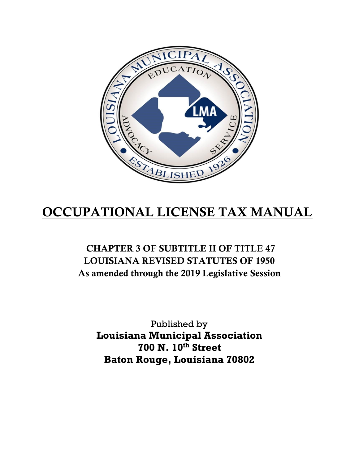

# OCCUPATIONAL LICENSE TAX MANUAL

# CHAPTER 3 OF SUBTITLE II OF TITLE 47 LOUISIANA REVISED STATUTES OF 1950 As amended through the 2019 Legislative Session

Published by **Louisiana Municipal Association 700 N. 10th Street Baton Rouge, Louisiana 70802**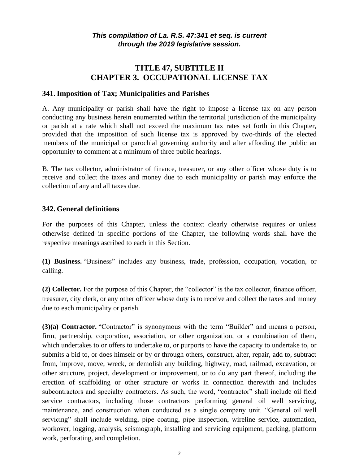# **TITLE 47, SUBTITLE II CHAPTER 3. OCCUPATIONAL LICENSE TAX**

#### **341.Imposition of Tax; Municipalities and Parishes**

A. Any municipality or parish shall have the right to impose a license tax on any person conducting any business herein enumerated within the territorial jurisdiction of the municipality or parish at a rate which shall not exceed the maximum tax rates set forth in this Chapter, provided that the imposition of such license tax is approved by two-thirds of the elected members of the municipal or parochial governing authority and after affording the public an opportunity to comment at a minimum of three public hearings.

B. The tax collector, administrator of finance, treasurer, or any other officer whose duty is to receive and collect the taxes and money due to each municipality or parish may enforce the collection of any and all taxes due.

#### **342. General definitions**

For the purposes of this Chapter, unless the context clearly otherwise requires or unless otherwise defined in specific portions of the Chapter, the following words shall have the respective meanings ascribed to each in this Section.

**(1) Business.** "Business" includes any business, trade, profession, occupation, vocation, or calling.

**(2) Collector.** For the purpose of this Chapter, the "collector" is the tax collector, finance officer, treasurer, city clerk, or any other officer whose duty is to receive and collect the taxes and money due to each municipality or parish.

**(3)(a) Contractor.** "Contractor" is synonymous with the term "Builder" and means a person, firm, partnership, corporation, association, or other organization, or a combination of them, which undertakes to or offers to undertake to, or purports to have the capacity to undertake to, or submits a bid to, or does himself or by or through others, construct, alter, repair, add to, subtract from, improve, move, wreck, or demolish any building, highway, road, railroad, excavation, or other structure, project, development or improvement, or to do any part thereof, including the erection of scaffolding or other structure or works in connection therewith and includes subcontractors and specialty contractors. As such, the word, "contractor" shall include oil field service contractors, including those contractors performing general oil well servicing, maintenance, and construction when conducted as a single company unit. "General oil well servicing" shall include welding, pipe coating, pipe inspection, wireline service, automation, workover, logging, analysis, seismograph, installing and servicing equipment, packing, platform work, perforating, and completion.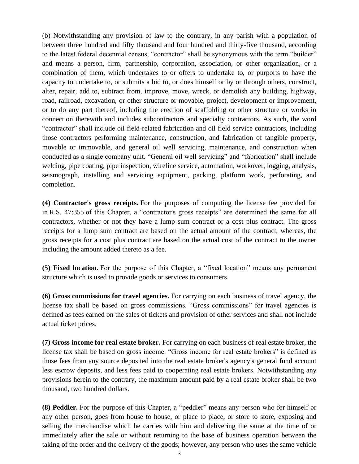(b) Notwithstanding any provision of law to the contrary, in any parish with a population of between three hundred and fifty thousand and four hundred and thirty-five thousand, according to the latest federal decennial census, "contractor" shall be synonymous with the term "builder" and means a person, firm, partnership, corporation, association, or other organization, or a combination of them, which undertakes to or offers to undertake to, or purports to have the capacity to undertake to, or submits a bid to, or does himself or by or through others, construct, alter, repair, add to, subtract from, improve, move, wreck, or demolish any building, highway, road, railroad, excavation, or other structure or movable, project, development or improvement, or to do any part thereof, including the erection of scaffolding or other structure or works in connection therewith and includes subcontractors and specialty contractors. As such, the word "contractor" shall include oil field-related fabrication and oil field service contractors, including those contractors performing maintenance, construction, and fabrication of tangible property, movable or immovable, and general oil well servicing, maintenance, and construction when conducted as a single company unit. "General oil well servicing" and "fabrication" shall include welding, pipe coating, pipe inspection, wireline service, automation, workover, logging, analysis, seismograph, installing and servicing equipment, packing, platform work, perforating, and completion.

**(4) Contractor's gross receipts.** For the purposes of computing the license fee provided for in R.S. 47:355 of this Chapter, a "contractor's gross receipts" are determined the same for all contractors, whether or not they have a lump sum contract or a cost plus contract. The gross receipts for a lump sum contract are based on the actual amount of the contract, whereas, the gross receipts for a cost plus contract are based on the actual cost of the contract to the owner including the amount added thereto as a fee.

**(5) Fixed location.** For the purpose of this Chapter, a "fixed location" means any permanent structure which is used to provide goods or services to consumers.

**(6) Gross commissions for travel agencies.** For carrying on each business of travel agency, the license tax shall be based on gross commissions. "Gross commissions" for travel agencies is defined as fees earned on the sales of tickets and provision of other services and shall not include actual ticket prices.

**(7) Gross income for real estate broker.** For carrying on each business of real estate broker, the license tax shall be based on gross income. "Gross income for real estate brokers" is defined as those fees from any source deposited into the real estate broker's agency's general fund account less escrow deposits, and less fees paid to cooperating real estate brokers. Notwithstanding any provisions herein to the contrary, the maximum amount paid by a real estate broker shall be two thousand, two hundred dollars.

**(8) Peddler.** For the purpose of this Chapter, a "peddler" means any person who for himself or any other person, goes from house to house, or place to place, or store to store, exposing and selling the merchandise which he carries with him and delivering the same at the time of or immediately after the sale or without returning to the base of business operation between the taking of the order and the delivery of the goods; however, any person who uses the same vehicle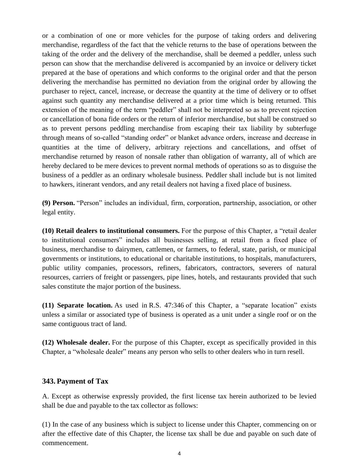or a combination of one or more vehicles for the purpose of taking orders and delivering merchandise, regardless of the fact that the vehicle returns to the base of operations between the taking of the order and the delivery of the merchandise, shall be deemed a peddler, unless such person can show that the merchandise delivered is accompanied by an invoice or delivery ticket prepared at the base of operations and which conforms to the original order and that the person delivering the merchandise has permitted no deviation from the original order by allowing the purchaser to reject, cancel, increase, or decrease the quantity at the time of delivery or to offset against such quantity any merchandise delivered at a prior time which is being returned. This extension of the meaning of the term "peddler" shall not be interpreted so as to prevent rejection or cancellation of bona fide orders or the return of inferior merchandise, but shall be construed so as to prevent persons peddling merchandise from escaping their tax liability by subterfuge through means of so-called "standing order" or blanket advance orders, increase and decrease in quantities at the time of delivery, arbitrary rejections and cancellations, and offset of merchandise returned by reason of nonsale rather than obligation of warranty, all of which are hereby declared to be mere devices to prevent normal methods of operations so as to disguise the business of a peddler as an ordinary wholesale business. Peddler shall include but is not limited to hawkers, itinerant vendors, and any retail dealers not having a fixed place of business.

**(9) Person.** "Person" includes an individual, firm, corporation, partnership, association, or other legal entity.

**(10) Retail dealers to institutional consumers.** For the purpose of this Chapter, a "retail dealer to institutional consumers" includes all businesses selling, at retail from a fixed place of business, merchandise to dairymen, cattlemen, or farmers, to federal, state, parish, or municipal governments or institutions, to educational or charitable institutions, to hospitals, manufacturers, public utility companies, processors, refiners, fabricators, contractors, severers of natural resources, carriers of freight or passengers, pipe lines, hotels, and restaurants provided that such sales constitute the major portion of the business.

**(11) Separate location.** As used in R.S. 47:346 of this Chapter, a "separate location" exists unless a similar or associated type of business is operated as a unit under a single roof or on the same contiguous tract of land.

**(12) Wholesale dealer.** For the purpose of this Chapter, except as specifically provided in this Chapter, a "wholesale dealer" means any person who sells to other dealers who in turn resell.

#### **343. Payment of Tax**

A. Except as otherwise expressly provided, the first license tax herein authorized to be levied shall be due and payable to the tax collector as follows:

(1) In the case of any business which is subject to license under this Chapter, commencing on or after the effective date of this Chapter, the license tax shall be due and payable on such date of commencement.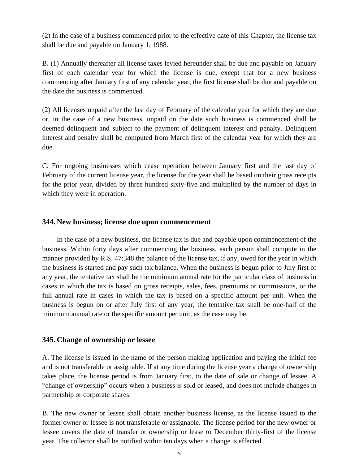(2) In the case of a business commenced prior to the effective date of this Chapter, the license tax shall be due and payable on January 1, 1988.

B. (1) Annually thereafter all license taxes levied hereunder shall be due and payable on January first of each calendar year for which the license is due, except that for a new business commencing after January first of any calendar year, the first license shall be due and payable on the date the business is commenced.

(2) All licenses unpaid after the last day of February of the calendar year for which they are due or, in the case of a new business, unpaid on the date such business is commenced shall be deemed delinquent and subject to the payment of delinquent interest and penalty. Delinquent interest and penalty shall be computed from March first of the calendar year for which they are due.

C. For ongoing businesses which cease operation between January first and the last day of February of the current license year, the license for the year shall be based on their gross receipts for the prior year, divided by three hundred sixty-five and multiplied by the number of days in which they were in operation.

#### **344. New business; license due upon commencement**

In the case of a new business, the license tax is due and payable upon commencement of the business. Within forty days after commencing the business, each person shall compute in the manner provided by R.S. 47:348 the balance of the license tax, if any, owed for the year in which the business is started and pay such tax balance. When the business is begun prior to July first of any year, the tentative tax shall be the minimum annual rate for the particular class of business in cases in which the tax is based on gross receipts, sales, fees, premiums or commissions, or the full annual rate in cases in which the tax is based on a specific amount per unit. When the business is begun on or after July first of any year, the tentative tax shall be one-half of the minimum annual rate or the specific amount per unit, as the case may be.

#### **345. Change of ownership or lessee**

A. The license is issued in the name of the person making application and paying the initial fee and is not transferable or assignable. If at any time during the license year a change of ownership takes place, the license period is from January first, to the date of sale or change of lessee. A "change of ownership" occurs when a business is sold or leased, and does not include changes in partnership or corporate shares.

B. The new owner or lessee shall obtain another business license, as the license issued to the former owner or lessee is not transferable or assignable. The license period for the new owner or lessee covers the date of transfer or ownership or lease to December thirty-first of the license year. The collector shall be notified within ten days when a change is effected.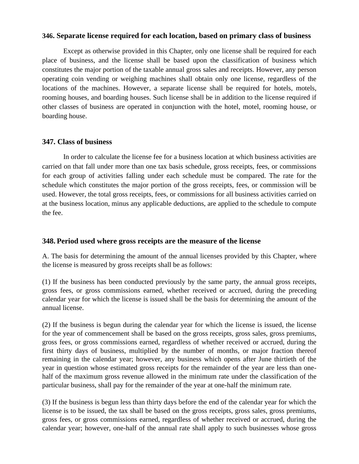#### **346. Separate license required for each location, based on primary class of business**

Except as otherwise provided in this Chapter, only one license shall be required for each place of business, and the license shall be based upon the classification of business which constitutes the major portion of the taxable annual gross sales and receipts. However, any person operating coin vending or weighing machines shall obtain only one license, regardless of the locations of the machines. However, a separate license shall be required for hotels, motels, rooming houses, and boarding houses. Such license shall be in addition to the license required if other classes of business are operated in conjunction with the hotel, motel, rooming house, or boarding house.

#### **347. Class of business**

In order to calculate the license fee for a business location at which business activities are carried on that fall under more than one tax basis schedule, gross receipts, fees, or commissions for each group of activities falling under each schedule must be compared. The rate for the schedule which constitutes the major portion of the gross receipts, fees, or commission will be used. However, the total gross receipts, fees, or commissions for all business activities carried on at the business location, minus any applicable deductions, are applied to the schedule to compute the fee.

#### **348. Period used where gross receipts are the measure of the license**

A. The basis for determining the amount of the annual licenses provided by this Chapter, where the license is measured by gross receipts shall be as follows:

(1) If the business has been conducted previously by the same party, the annual gross receipts, gross fees, or gross commissions earned, whether received or accrued, during the preceding calendar year for which the license is issued shall be the basis for determining the amount of the annual license.

(2) If the business is begun during the calendar year for which the license is issued, the license for the year of commencement shall be based on the gross receipts, gross sales, gross premiums, gross fees, or gross commissions earned, regardless of whether received or accrued, during the first thirty days of business, multiplied by the number of months, or major fraction thereof remaining in the calendar year; however, any business which opens after June thirtieth of the year in question whose estimated gross receipts for the remainder of the year are less than onehalf of the maximum gross revenue allowed in the minimum rate under the classification of the particular business, shall pay for the remainder of the year at one-half the minimum rate.

(3) If the business is begun less than thirty days before the end of the calendar year for which the license is to be issued, the tax shall be based on the gross receipts, gross sales, gross premiums, gross fees, or gross commissions earned, regardless of whether received or accrued, during the calendar year; however, one-half of the annual rate shall apply to such businesses whose gross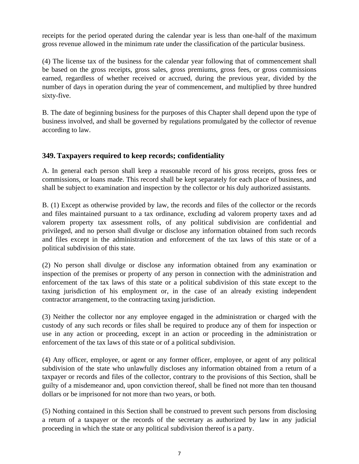receipts for the period operated during the calendar year is less than one-half of the maximum gross revenue allowed in the minimum rate under the classification of the particular business.

(4) The license tax of the business for the calendar year following that of commencement shall be based on the gross receipts, gross sales, gross premiums, gross fees, or gross commissions earned, regardless of whether received or accrued, during the previous year, divided by the number of days in operation during the year of commencement, and multiplied by three hundred sixty-five.

B. The date of beginning business for the purposes of this Chapter shall depend upon the type of business involved, and shall be governed by regulations promulgated by the collector of revenue according to law.

# **349. Taxpayers required to keep records; confidentiality**

A. In general each person shall keep a reasonable record of his gross receipts, gross fees or commissions, or loans made. This record shall be kept separately for each place of business, and shall be subject to examination and inspection by the collector or his duly authorized assistants.

B. (1) Except as otherwise provided by law, the records and files of the collector or the records and files maintained pursuant to a tax ordinance, excluding ad valorem property taxes and ad valorem property tax assessment rolls, of any political subdivision are confidential and privileged, and no person shall divulge or disclose any information obtained from such records and files except in the administration and enforcement of the tax laws of this state or of a political subdivision of this state.

(2) No person shall divulge or disclose any information obtained from any examination or inspection of the premises or property of any person in connection with the administration and enforcement of the tax laws of this state or a political subdivision of this state except to the taxing jurisdiction of his employment or, in the case of an already existing independent contractor arrangement, to the contracting taxing jurisdiction.

(3) Neither the collector nor any employee engaged in the administration or charged with the custody of any such records or files shall be required to produce any of them for inspection or use in any action or proceeding, except in an action or proceeding in the administration or enforcement of the tax laws of this state or of a political subdivision.

(4) Any officer, employee, or agent or any former officer, employee, or agent of any political subdivision of the state who unlawfully discloses any information obtained from a return of a taxpayer or records and files of the collector, contrary to the provisions of this Section, shall be guilty of a misdemeanor and, upon conviction thereof, shall be fined not more than ten thousand dollars or be imprisoned for not more than two years, or both.

(5) Nothing contained in this Section shall be construed to prevent such persons from disclosing a return of a taxpayer or the records of the secretary as authorized by law in any judicial proceeding in which the state or any political subdivision thereof is a party.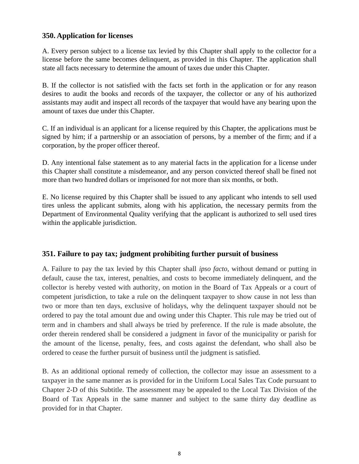## **350. Application for licenses**

A. Every person subject to a license tax levied by this Chapter shall apply to the collector for a license before the same becomes delinquent, as provided in this Chapter. The application shall state all facts necessary to determine the amount of taxes due under this Chapter.

B. If the collector is not satisfied with the facts set forth in the application or for any reason desires to audit the books and records of the taxpayer, the collector or any of his authorized assistants may audit and inspect all records of the taxpayer that would have any bearing upon the amount of taxes due under this Chapter.

C. If an individual is an applicant for a license required by this Chapter, the applications must be signed by him; if a partnership or an association of persons, by a member of the firm; and if a corporation, by the proper officer thereof.

D. Any intentional false statement as to any material facts in the application for a license under this Chapter shall constitute a misdemeanor, and any person convicted thereof shall be fined not more than two hundred dollars or imprisoned for not more than six months, or both.

E. No license required by this Chapter shall be issued to any applicant who intends to sell used tires unless the applicant submits, along with his application, the necessary permits from the Department of Environmental Quality verifying that the applicant is authorized to sell used tires within the applicable jurisdiction.

# **351. Failure to pay tax; judgment prohibiting further pursuit of business**

A. Failure to pay the tax levied by this Chapter shall *ipso facto*, without demand or putting in default, cause the tax, interest, penalties, and costs to become immediately delinquent, and the collector is hereby vested with authority, on motion in the Board of Tax Appeals or a court of competent jurisdiction, to take a rule on the delinquent taxpayer to show cause in not less than two or more than ten days, exclusive of holidays, why the delinquent taxpayer should not be ordered to pay the total amount due and owing under this Chapter. This rule may be tried out of term and in chambers and shall always be tried by preference. If the rule is made absolute, the order therein rendered shall be considered a judgment in favor of the municipality or parish for the amount of the license, penalty, fees, and costs against the defendant, who shall also be ordered to cease the further pursuit of business until the judgment is satisfied.

B. As an additional optional remedy of collection, the collector may issue an assessment to a taxpayer in the same manner as is provided for in the Uniform Local Sales Tax Code pursuant to Chapter 2-D of this Subtitle. The assessment may be appealed to the Local Tax Division of the Board of Tax Appeals in the same manner and subject to the same thirty day deadline as provided for in that Chapter.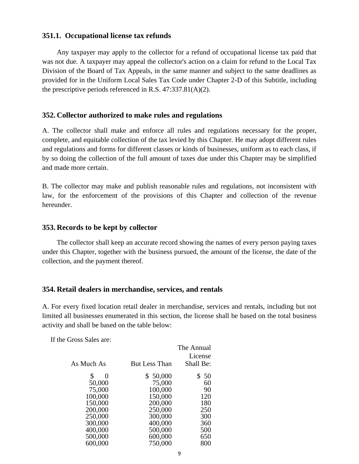#### **351.1. Occupational license tax refunds**

Any taxpayer may apply to the collector for a refund of occupational license tax paid that was not due. A taxpayer may appeal the collector's action on a claim for refund to the Local Tax Division of the Board of Tax Appeals, in the same manner and subject to the same deadlines as provided for in the Uniform Local Sales Tax Code under Chapter 2-D of this Subtitle, including the prescriptive periods referenced in R.S. 47:337.81(A)(2).

#### **352. Collector authorized to make rules and regulations**

A. The collector shall make and enforce all rules and regulations necessary for the proper, complete, and equitable collection of the tax levied by this Chapter. He may adopt different rules and regulations and forms for different classes or kinds of businesses, uniform as to each class, if by so doing the collection of the full amount of taxes due under this Chapter may be simplified and made more certain.

B. The collector may make and publish reasonable rules and regulations, not inconsistent with law, for the enforcement of the provisions of this Chapter and collection of the revenue hereunder.

#### **353. Records to be kept by collector**

The collector shall keep an accurate record showing the names of every person paying taxes under this Chapter, together with the business pursued, the amount of the license, the date of the collection, and the payment thereof.

#### **354. Retail dealers in merchandise, services, and rentals**

A. For every fixed location retail dealer in merchandise, services and rentals, including but not limited all businesses enumerated in this section, the license shall be based on the total business activity and shall be based on the table below:

If the Gross Sales are:

|            |                      | The Annual<br>License |
|------------|----------------------|-----------------------|
| As Much As | <b>But Less Than</b> | Shall Be:             |
| \$<br>0    | \$50,000             | \$ 50                 |
| 50,000     | 75,000               | 60                    |
| 75,000     | 100,000              | 90                    |
| 100,000    | 150,000              | 120                   |
| 150,000    | 200,000              | 180                   |
| 200,000    | 250,000              | 250                   |
| 250,000    | 300,000              | 300                   |
| 300,000    | 400,000              | 360                   |
| 400,000    | 500,000              | 500                   |
| 500,000    | 600,000              | 650                   |
| 600,000    | 750,000              | 800                   |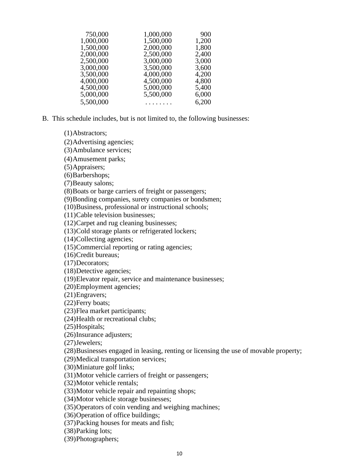| 750,000   | 1,000,000 | 900   |
|-----------|-----------|-------|
| 1,000,000 | 1,500,000 | 1,200 |
| 1,500,000 | 2,000,000 | 1,800 |
| 2,000,000 | 2,500,000 | 2,400 |
| 2,500,000 | 3,000,000 | 3,000 |
| 3,000,000 | 3,500,000 | 3,600 |
| 3,500,000 | 4,000,000 | 4,200 |
| 4,000,000 | 4,500,000 | 4,800 |
| 4,500,000 | 5,000,000 | 5,400 |
| 5,000,000 | 5,500,000 | 6,000 |
| 5,500,000 | .         | 6,200 |

B. This schedule includes, but is not limited to, the following businesses:

(1)Abstractors;

(2)Advertising agencies;

(3)Ambulance services;

(4)Amusement parks;

(5)Appraisers;

(6)Barbershops;

(7)Beauty salons;

(8)Boats or barge carriers of freight or passengers;

(9)Bonding companies, surety companies or bondsmen;

(10)Business, professional or instructional schools;

(11)Cable television businesses;

(12)Carpet and rug cleaning businesses;

(13)Cold storage plants or refrigerated lockers;

(14)Collecting agencies;

(15)Commercial reporting or rating agencies;

(16)Credit bureaus;

(17)Decorators;

(18)Detective agencies;

(19)Elevator repair, service and maintenance businesses;

(20)Employment agencies;

(21)Engravers;

(22)Ferry boats;

(23)Flea market participants;

(24)Health or recreational clubs;

(25)Hospitals;

(26)Insurance adjusters;

(27)Jewelers;

(28)Businesses engaged in leasing, renting or licensing the use of movable property;

(29)Medical transportation services;

(30)Miniature golf links;

(31)Motor vehicle carriers of freight or passengers;

(32)Motor vehicle rentals;

(33)Motor vehicle repair and repainting shops;

(34)Motor vehicle storage businesses;

(35)Operators of coin vending and weighing machines;

(36)Operation of office buildings;

(37)Packing houses for meats and fish;

(38)Parking lots;

(39)Photographers;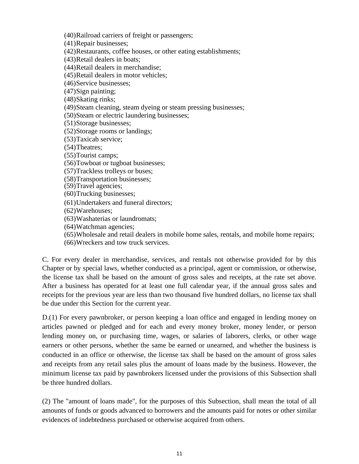(40)Railroad carriers of freight or passengers;

(41)Repair businesses;

(42)Restaurants, coffee houses, or other eating establishments;

(43)Retail dealers in boats;

(44)Retail dealers in merchandise;

(45)Retail dealers in motor vehicles;

(46)Service businesses;

(47)Sign painting;

(48)Skating rinks;

(49)Steam cleaning, steam dyeing or steam pressing businesses;

(50)Steam or electric laundering businesses;

(51)Storage businesses;

(52)Storage rooms or landings;

(53)Taxicab service;

(54)Theatres;

(55)Tourist camps;

(56)Towboat or tugboat businesses;

(57)Trackless trolleys or buses;

(58)Transportation businesses;

(59)Travel agencies;

(60)Trucking businesses;

(61)Undertakers and funeral directors;

(62)Warehouses;

(63)Washaterias or laundromats;

(64)Watchman agencies;

(65)Wholesale and retail dealers in mobile home sales, rentals, and mobile home repairs;

(66)Wreckers and tow truck services.

C. For every dealer in merchandise, services, and rentals not otherwise provided for by this Chapter or by special laws, whether conducted as a principal, agent or commission, or otherwise, the license tax shall be based on the amount of gross sales and receipts, at the rate set above. After a business has operated for at least one full calendar year, if the annual gross sales and receipts for the previous year are less than two thousand five hundred dollars, no license tax shall be due under this Section for the current year.

D.(1) For every pawnbroker, or person keeping a loan office and engaged in lending money on articles pawned or pledged and for each and every money broker, money lender, or person lending money on, or purchasing time, wages, or salaries of laborers, clerks, or other wage earners or other persons, whether the same be earned or unearned, and whether the business is conducted in an office or otherwise, the license tax shall be based on the amount of gross sales and receipts from any retail sales plus the amount of loans made by the business. However, the minimum license tax paid by pawnbrokers licensed under the provisions of this Subsection shall be three hundred dollars.

(2) The "amount of loans made", for the purposes of this Subsection, shall mean the total of all amounts of funds or goods advanced to borrowers and the amounts paid for notes or other similar evidences of indebtedness purchased or otherwise acquired from others.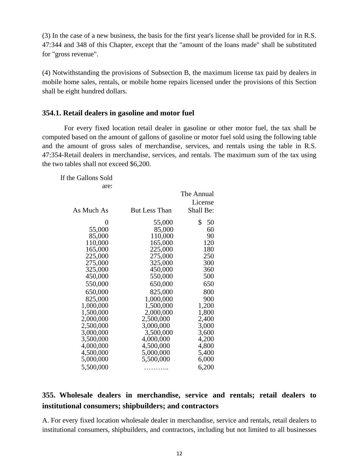(3) In the case of a new business, the basis for the first year's license shall be provided for in R.S. 47:344 and 348 of this Chapter, except that the "amount of the loans made" shall be substituted for "gross revenue".

(4) Notwithstanding the provisions of Subsection B, the maximum license tax paid by dealers in mobile home sales, rentals, or mobile home repairs licensed under the provisions of this Section shall be eight hundred dollars.

#### **354.1. Retail dealers in gasoline and motor fuel**

For every fixed location retail dealer in gasoline or other motor fuel, the tax shall be computed based on the amount of gallons of gasoline or motor fuel sold using the following table and the amount of gross sales of merchandise, services, and rentals using the table in R.S. 47:354-Retail dealers in merchandise, services, and rentals. The maximum sum of the tax using the two tables shall not exceed \$6,200.

If the Gallons Sold are:

| As Much As | <b>But Less Than</b> | The Annual<br>License<br>Shall Be: |
|------------|----------------------|------------------------------------|
| $\theta$   | 55,000               | \$<br>50                           |
| 55,000     | 85,000               | 60                                 |
| 85,000     | 110,000              | 90                                 |
| 110,000    | 165,000              | 120                                |
| 165,000    | 225,000              | 180                                |
| 225,000    | 275,000              | 250                                |
| 275,000    | 325,000              | 300                                |
| 325,000    | 450,000              | 360                                |
| 450,000    | 550,000              | 500                                |
| 550,000    | 650,000              | 650                                |
| 650,000    | 825,000              | 800                                |
| 825,000    | 1,000,000            | 900                                |
| 1,000,000  | 1,500,000            | 1,200                              |
| 1,500,000  | 2,000,000            | 1,800                              |
| 2,000,000  | 2,500,000            | 2,400                              |
| 2,500,000  | 3,000,000            | 3,000                              |
| 3,000,000  | 3,500,000            | 3,600                              |
| 3,500,000  | 4,000,000            | 4,200                              |
| 4,000,000  | 4,500,000            | 4,800                              |
| 4,500,000  | 5,000,000            | 5,400                              |
| 5,000,000  | 5,500,000            | 6,000                              |
| 5,500,000  |                      | 6,200                              |

# **355. Wholesale dealers in merchandise, service and rentals; retail dealers to institutional consumers; shipbuilders; and contractors**

A. For every fixed location wholesale dealer in merchandise, service and rentals, retail dealers to institutional consumers, shipbuilders, and contractors, including but not limited to all businesses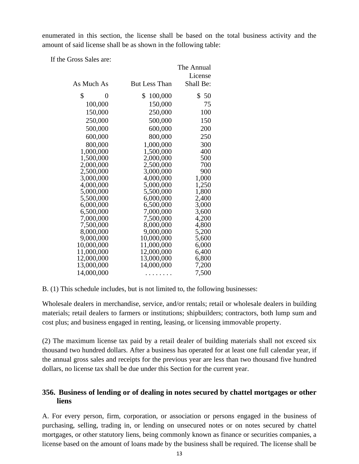enumerated in this section, the license shall be based on the total business activity and the amount of said license shall be as shown in the following table:

If the Gross Sales are:

|            |           |                      | The Annual |
|------------|-----------|----------------------|------------|
|            |           |                      | License    |
| As Much As |           | <b>But Less Than</b> | Shall Be:  |
| \$         | 0         | 100,000<br>\$        | \$50       |
|            | 100,000   | 150,000              | 75         |
|            | 150,000   | 250,000              | 100        |
|            | 250,000   | 500,000              | 150        |
|            | 500,000   | 600,000              | 200        |
|            | 600,000   | 800,000              | 250        |
|            | 800,000   | 1,000,000            | 300        |
|            | 1,000,000 | 1,500,000            | 400        |
|            | 1,500,000 | 2,000,000            | 500        |
|            | 2,000,000 | 2,500,000            | 700        |
|            | 2,500,000 | 3,000,000            | 900        |
|            | 3,000,000 | 4,000,000            | 1,000      |
|            | 4,000,000 | 5,000,000            | 1,250      |
|            | 5,000,000 | 5,500,000            | 1,800      |
|            | 5,500,000 | 6,000,000            | 2,400      |
|            | 6,000,000 | 6,500,000            | 3,000      |
|            | 6,500,000 | 7,000,000            | 3,600      |
|            | 7,000,000 | 7,500,000            | 4,200      |
|            | 7,500,000 | 8,000,000            | 4,800      |
|            | 8,000,000 | 9,000,000            | 5,200      |
|            | 9,000,000 | 10,000,000           | 5,600      |
| 10,000,000 |           | 11,000,000           | 6,000      |
| 11,000,000 |           | 12,000,000           | 6,400      |
| 12,000,000 |           | 13,000,000           | 6,800      |
| 13,000,000 |           | 14,000,000           | 7,200      |
| 14,000,000 |           | .                    | 7,500      |

B. (1) This schedule includes, but is not limited to, the following businesses:

Wholesale dealers in merchandise, service, and/or rentals; retail or wholesale dealers in building materials; retail dealers to farmers or institutions; shipbuilders; contractors, both lump sum and cost plus; and business engaged in renting, leasing, or licensing immovable property.

(2) The maximum license tax paid by a retail dealer of building materials shall not exceed six thousand two hundred dollars. After a business has operated for at least one full calendar year, if the annual gross sales and receipts for the previous year are less than two thousand five hundred dollars, no license tax shall be due under this Section for the current year.

# **356. Business of lending or of dealing in notes secured by chattel mortgages or other liens**

A. For every person, firm, corporation, or association or persons engaged in the business of purchasing, selling, trading in, or lending on unsecured notes or on notes secured by chattel mortgages, or other statutory liens, being commonly known as finance or securities companies, a license based on the amount of loans made by the business shall be required. The license shall be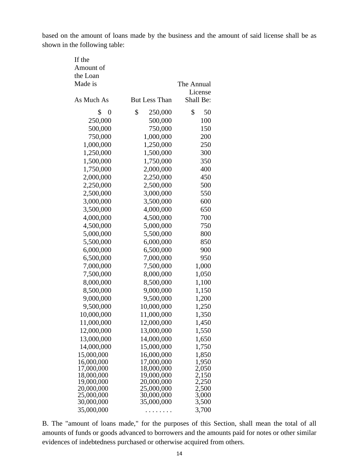based on the amount of loans made by the business and the amount of said license shall be as shown in the following table:

| If the<br>Amount of      |                          |                |
|--------------------------|--------------------------|----------------|
| the Loan                 |                          |                |
| Made is                  |                          | The Annual     |
|                          |                          | License        |
| As Much As               | <b>But Less Than</b>     | Shall Be:      |
| \$<br>$\boldsymbol{0}$   | \$<br>250,000            | \$<br>50       |
| 250,000                  | 500,000                  | 100            |
| 500,000                  | 750,000                  | 150            |
| 750,000                  | 1,000,000                | 200            |
| 1,000,000                | 1,250,000                | 250            |
| 1,250,000                | 1,500,000                | 300            |
| 1,500,000                | 1,750,000                | 350            |
| 1,750,000                | 2,000,000                | 400            |
| 2,000,000                | 2,250,000                | 450            |
| 2,250,000                | 2,500,000                | 500            |
| 2,500,000                | 3,000,000                | 550            |
| 3,000,000                | 3,500,000                | 600            |
| 3,500,000                | 4,000,000                | 650            |
| 4,000,000                | 4,500,000                | 700            |
| 4,500,000                | 5,000,000                | 750            |
| 5,000,000                | 5,500,000                | 800            |
| 5,500,000                | 6,000,000                | 850            |
| 6,000,000                | 6,500,000                | 900            |
| 6,500,000                | 7,000,000                | 950            |
| 7,000,000                | 7,500,000                | 1,000          |
| 7,500,000                | 8,000,000                | 1,050          |
| 8,000,000                | 8,500,000                | 1,100          |
| 8,500,000                | 9,000,000                | 1,150          |
| 9,000,000                | 9,500,000                | 1,200          |
| 9,500,000                | 10,000,000               | 1,250          |
| 10,000,000               | 11,000,000               | 1,350          |
| 11,000,000               | 12,000,000               | 1,450          |
| 12,000,000               | 13,000,000               | 1,550          |
| 13,000,000               | 14,000,000               | 1,650          |
| 14,000,000               | 15,000,000               | 1,750          |
| 15,000,000               | 16,000,000               | 1,850          |
| 16,000,000               | 17,000,000               | 1,950          |
| 17,000,000<br>18,000,000 | 18,000,000               | 2,050          |
| 19,000,000               | 19,000,000<br>20,000,000 | 2,150<br>2,250 |
| 20,000,000               | 25,000,000               | 2,500          |
| 25,000,000               | 30,000,000               | 3,000          |
| 30,000,000               | 35,000,000               | 3,500          |
| 35,000,000               | .                        | 3,700          |

B. The "amount of loans made," for the purposes of this Section, shall mean the total of all amounts of funds or goods advanced to borrowers and the amounts paid for notes or other similar evidences of indebtedness purchased or otherwise acquired from others.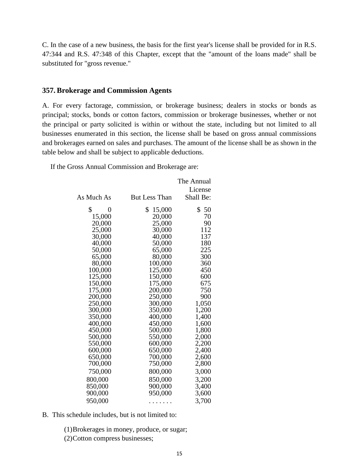C. In the case of a new business, the basis for the first year's license shall be provided for in R.S. 47:344 and R.S. 47:348 of this Chapter, except that the "amount of the loans made" shall be substituted for "gross revenue."

#### **357. Brokerage and Commission Agents**

A. For every factorage, commission, or brokerage business; dealers in stocks or bonds as principal; stocks, bonds or cotton factors, commission or brokerage businesses, whether or not the principal or party solicited is within or without the state, including but not limited to all businesses enumerated in this section, the license shall be based on gross annual commissions and brokerages earned on sales and purchases. The amount of the license shall be as shown in the table below and shall be subject to applicable deductions.

If the Gross Annual Commission and Brokerage are:

|            |                      | The Annual |
|------------|----------------------|------------|
|            |                      | License    |
| As Much As | <b>But Less Than</b> | Shall Be:  |
| \$<br>0    | \$<br>15,000         | \$<br>50   |
| 15,000     | 20,000               | 70         |
| 20,000     | 25,000               | 90         |
| 25,000     | 30,000               | 112        |
| 30,000     | 40,000               | 137        |
| 40,000     | 50,000               | 180        |
| 50,000     | 65,000               | 225        |
| 65,000     | 80,000               | 300        |
| 80,000     | 100,000              | 360        |
| 100,000    | 125,000              | 450        |
| 125,000    | 150,000              | 600        |
| 150,000    | 175,000              | 675        |
| 175,000    | 200,000              | 750        |
| 200,000    | 250,000              | 900        |
| 250,000    | 300,000              | 1,050      |
| 300,000    | 350,000              | 1,200      |
| 350,000    | 400,000              | 1,400      |
| 400,000    | 450,000              | 1,600      |
| 450,000    | 500,000              | 1,800      |
| 500,000    | 550,000              | 2,000      |
| 550,000    | 600,000              | 2,200      |
| 600,000    | 650,000              | 2,400      |
| 650,000    | 700,000              | 2,600      |
| 700,000    | 750,000              | 2,800      |
| 750,000    | 800,000              | 3,000      |
| 800,000    | 850,000              | 3,200      |
| 850,000    | 900,000              | 3,400      |
| 900,000    | 950,000              | 3,600      |
| 950,000    |                      | 3,700      |

B. This schedule includes, but is not limited to:

(1)Brokerages in money, produce, or sugar; (2)Cotton compress businesses;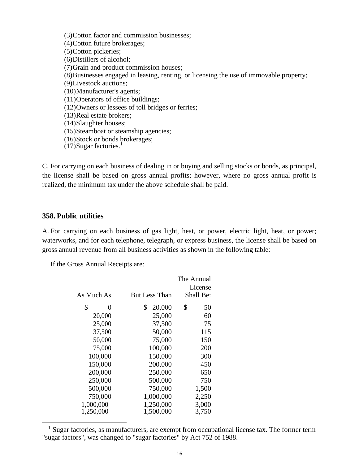(3)Cotton factor and commission businesses; (4)Cotton future brokerages; (5)Cotton pickeries; (6)Distillers of alcohol; (7)Grain and product commission houses; (8)Businesses engaged in leasing, renting, or licensing the use of immovable property; (9)Livestock auctions; (10)Manufacturer's agents; (11)Operators of office buildings; (12)Owners or lessees of toll bridges or ferries; (13)Real estate brokers; (14)Slaughter houses; (15)Steamboat or steamship agencies; (16)Stock or bonds brokerages;  $(17)$ Sugar factories.<sup>1</sup>

C. For carrying on each business of dealing in or buying and selling stocks or bonds, as principal, the license shall be based on gross annual profits; however, where no gross annual profit is realized, the minimum tax under the above schedule shall be paid.

#### **358. Public utilities**

A. For carrying on each business of gas light, heat, or power, electric light, heat, or power; waterworks, and for each telephone, telegraph, or express business, the license shall be based on gross annual revenue from all business activities as shown in the following table:

If the Gross Annual Receipts are:

| As Much As | <b>But Less Than</b> | The Annual<br>License<br>Shall Be: |
|------------|----------------------|------------------------------------|
| \$<br>0    | 20,000<br>\$         | \$<br>50                           |
|            |                      |                                    |
| 20,000     | 25,000               | 60                                 |
| 25,000     | 37,500               | 75                                 |
| 37,500     | 50,000               | 115                                |
| 50,000     | 75,000               | 150                                |
| 75,000     | 100,000              | 200                                |
| 100,000    | 150,000              | 300                                |
| 150,000    | 200,000              | 450                                |
| 200,000    | 250,000              | 650                                |
| 250,000    | 500,000              | 750                                |
| 500,000    | 750,000              | 1,500                              |
| 750,000    | 1,000,000            | 2,250                              |
| 1,000,000  | 1,250,000            | 3,000                              |
| 1,250,000  | 1,500,000            | 3,750                              |

 $<sup>1</sup>$  Sugar factories, as manufacturers, are exempt from occupational license tax. The former term</sup> "sugar factors", was changed to "sugar factories" by Act 752 of 1988.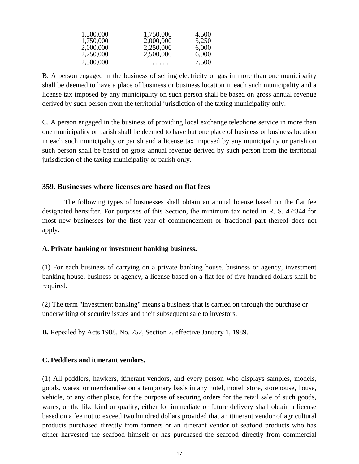| 1,500,000 | 1,750,000 | 4,500 |
|-----------|-----------|-------|
| 1,750,000 | 2,000,000 | 5,250 |
| 2,000,000 | 2,250,000 | 6,000 |
| 2,250,000 | 2,500,000 | 6,900 |
| 2,500,000 | .         | 7,500 |

B. A person engaged in the business of selling electricity or gas in more than one municipality shall be deemed to have a place of business or business location in each such municipality and a license tax imposed by any municipality on such person shall be based on gross annual revenue derived by such person from the territorial jurisdiction of the taxing municipality only.

C. A person engaged in the business of providing local exchange telephone service in more than one municipality or parish shall be deemed to have but one place of business or business location in each such municipality or parish and a license tax imposed by any municipality or parish on such person shall be based on gross annual revenue derived by such person from the territorial jurisdiction of the taxing municipality or parish only.

#### **359. Businesses where licenses are based on flat fees**

The following types of businesses shall obtain an annual license based on the flat fee designated hereafter. For purposes of this Section, the minimum tax noted in R. S. 47:344 for most new businesses for the first year of commencement or fractional part thereof does not apply.

#### **A. Private banking or investment banking business.**

(1) For each business of carrying on a private banking house, business or agency, investment banking house, business or agency, a license based on a flat fee of five hundred dollars shall be required.

(2) The term "investment banking" means a business that is carried on through the purchase or underwriting of security issues and their subsequent sale to investors.

**B.** Repealed by Acts 1988, No. 752, Section 2, effective January 1, 1989.

#### **C. Peddlers and itinerant vendors.**

(1) All peddlers, hawkers, itinerant vendors, and every person who displays samples, models, goods, wares, or merchandise on a temporary basis in any hotel, motel, store, storehouse, house, vehicle, or any other place, for the purpose of securing orders for the retail sale of such goods, wares, or the like kind or quality, either for immediate or future delivery shall obtain a license based on a fee not to exceed two hundred dollars provided that an itinerant vendor of agricultural products purchased directly from farmers or an itinerant vendor of seafood products who has either harvested the seafood himself or has purchased the seafood directly from commercial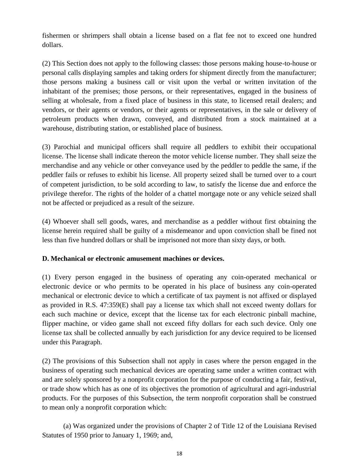fishermen or shrimpers shall obtain a license based on a flat fee not to exceed one hundred dollars.

(2) This Section does not apply to the following classes: those persons making house-to-house or personal calls displaying samples and taking orders for shipment directly from the manufacturer; those persons making a business call or visit upon the verbal or written invitation of the inhabitant of the premises; those persons, or their representatives, engaged in the business of selling at wholesale, from a fixed place of business in this state, to licensed retail dealers; and vendors, or their agents or vendors, or their agents or representatives, in the sale or delivery of petroleum products when drawn, conveyed, and distributed from a stock maintained at a warehouse, distributing station, or established place of business.

(3) Parochial and municipal officers shall require all peddlers to exhibit their occupational license. The license shall indicate thereon the motor vehicle license number. They shall seize the merchandise and any vehicle or other conveyance used by the peddler to peddle the same, if the peddler fails or refuses to exhibit his license. All property seized shall be turned over to a court of competent jurisdiction, to be sold according to law, to satisfy the license due and enforce the privilege therefor. The rights of the holder of a chattel mortgage note or any vehicle seized shall not be affected or prejudiced as a result of the seizure.

(4) Whoever shall sell goods, wares, and merchandise as a peddler without first obtaining the license herein required shall be guilty of a misdemeanor and upon conviction shall be fined not less than five hundred dollars or shall be imprisoned not more than sixty days, or both.

#### **D. Mechanical or electronic amusement machines or devices.**

(1) Every person engaged in the business of operating any coin-operated mechanical or electronic device or who permits to be operated in his place of business any coin-operated mechanical or electronic device to which a certificate of tax payment is not affixed or displayed as provided in R.S. 47:359(E) shall pay a license tax which shall not exceed twenty dollars for each such machine or device, except that the license tax for each electronic pinball machine, flipper machine, or video game shall not exceed fifty dollars for each such device. Only one license tax shall be collected annually by each jurisdiction for any device required to be licensed under this Paragraph.

(2) The provisions of this Subsection shall not apply in cases where the person engaged in the business of operating such mechanical devices are operating same under a written contract with and are solely sponsored by a nonprofit corporation for the purpose of conducting a fair, festival, or trade show which has as one of its objectives the promotion of agricultural and agri-industrial products. For the purposes of this Subsection, the term nonprofit corporation shall be construed to mean only a nonprofit corporation which:

(a) Was organized under the provisions of Chapter 2 of Title 12 of the Louisiana Revised Statutes of 1950 prior to January 1, 1969; and,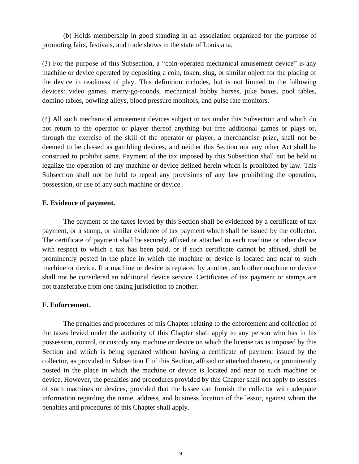(b) Holds membership in good standing in an association organized for the purpose of promoting fairs, festivals, and trade shows in the state of Louisiana.

(3) For the purpose of this Subsection, a "coin-operated mechanical amusement device" is any machine or device operated by depositing a coin, token, slug, or similar object for the placing of the device in readiness of play. This definition includes, but is not limited to the following devices: video games, merry-go-rounds, mechanical hobby horses, juke boxes, pool tables, domino tables, bowling alleys, blood pressure monitors, and pulse rate monitors.

(4) All such mechanical amusement devices subject to tax under this Subsection and which do not return to the operator or player thereof anything but free additional games or plays or, through the exercise of the skill of the operator or player, a merchandise prize, shall not be deemed to be classed as gambling devices, and neither this Section nor any other Act shall be construed to prohibit same. Payment of the tax imposed by this Subsection shall not be held to legalize the operation of any machine or device defined herein which is prohibited by law. This Subsection shall not be held to repeal any provisions of any law prohibiting the operation, possession, or use of any such machine or device.

#### **E. Evidence of payment.**

The payment of the taxes levied by this Section shall be evidenced by a certificate of tax payment, or a stamp, or similar evidence of tax payment which shall be issued by the collector. The certificate of payment shall be securely affixed or attached to each machine or other device with respect to which a tax has been paid, or if such certificate cannot be affixed, shall be prominently posted in the place in which the machine or device is located and near to such machine or device. If a machine or device is replaced by another, such other machine or device shall not be considered an additional device service. Certificates of tax payment or stamps are not transferable from one taxing jurisdiction to another.

#### **F. Enforcement.**

The penalties and procedures of this Chapter relating to the enforcement and collection of the taxes levied under the authority of this Chapter shall apply to any person who has in his possession, control, or custody any machine or device on which the license tax is imposed by this Section and which is being operated without having a certificate of payment issued by the collector, as provided in Subsection E of this Section, affixed or attached thereto, or prominently posted in the place in which the machine or device is located and near to such machine or device. However, the penalties and procedures provided by this Chapter shall not apply to lessees of such machines or devices, provided that the lessee can furnish the collector with adequate information regarding the name, address, and business location of the lessor, against whom the penalties and procedures of this Chapter shall apply.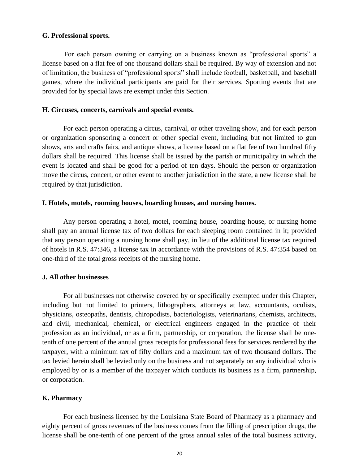#### **G. Professional sports.**

For each person owning or carrying on a business known as "professional sports" a license based on a flat fee of one thousand dollars shall be required. By way of extension and not of limitation, the business of "professional sports" shall include football, basketball, and baseball games, where the individual participants are paid for their services. Sporting events that are provided for by special laws are exempt under this Section.

#### **H. Circuses, concerts, carnivals and special events.**

For each person operating a circus, carnival, or other traveling show, and for each person or organization sponsoring a concert or other special event, including but not limited to gun shows, arts and crafts fairs, and antique shows, a license based on a flat fee of two hundred fifty dollars shall be required. This license shall be issued by the parish or municipality in which the event is located and shall be good for a period of ten days. Should the person or organization move the circus, concert, or other event to another jurisdiction in the state, a new license shall be required by that jurisdiction.

#### **I. Hotels, motels, rooming houses, boarding houses, and nursing homes.**

Any person operating a hotel, motel, rooming house, boarding house, or nursing home shall pay an annual license tax of two dollars for each sleeping room contained in it; provided that any person operating a nursing home shall pay, in lieu of the additional license tax required of hotels in R.S. 47:346, a license tax in accordance with the provisions of R.S. 47:354 based on one-third of the total gross receipts of the nursing home.

#### **J. All other businesses**

For all businesses not otherwise covered by or specifically exempted under this Chapter, including but not limited to printers, lithographers, attorneys at law, accountants, oculists, physicians, osteopaths, dentists, chiropodists, bacteriologists, veterinarians, chemists, architects, and civil, mechanical, chemical, or electrical engineers engaged in the practice of their profession as an individual, or as a firm, partnership, or corporation, the license shall be onetenth of one percent of the annual gross receipts for professional fees for services rendered by the taxpayer, with a minimum tax of fifty dollars and a maximum tax of two thousand dollars. The tax levied herein shall be levied only on the business and not separately on any individual who is employed by or is a member of the taxpayer which conducts its business as a firm, partnership, or corporation.

#### **K. Pharmacy**

For each business licensed by the Louisiana State Board of Pharmacy as a pharmacy and eighty percent of gross revenues of the business comes from the filling of prescription drugs, the license shall be one-tenth of one percent of the gross annual sales of the total business activity,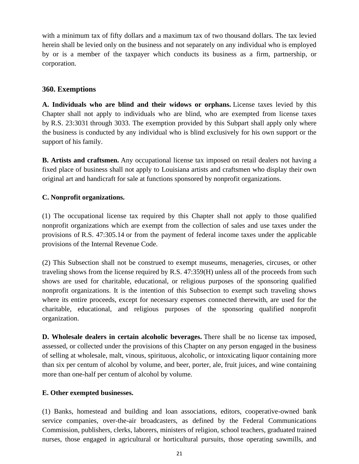with a minimum tax of fifty dollars and a maximum tax of two thousand dollars. The tax levied herein shall be levied only on the business and not separately on any individual who is employed by or is a member of the taxpayer which conducts its business as a firm, partnership, or corporation.

# **360. Exemptions**

**A. Individuals who are blind and their widows or orphans.** License taxes levied by this Chapter shall not apply to individuals who are blind, who are exempted from license taxes by R.S. 23:3031 through 3033. The exemption provided by this Subpart shall apply only where the business is conducted by any individual who is blind exclusively for his own support or the support of his family.

**B. Artists and craftsmen.** Any occupational license tax imposed on retail dealers not having a fixed place of business shall not apply to Louisiana artists and craftsmen who display their own original art and handicraft for sale at functions sponsored by nonprofit organizations.

#### **C. Nonprofit organizations.**

(1) The occupational license tax required by this Chapter shall not apply to those qualified nonprofit organizations which are exempt from the collection of sales and use taxes under the provisions of R.S. 47:305.14 or from the payment of federal income taxes under the applicable provisions of the Internal Revenue Code.

(2) This Subsection shall not be construed to exempt museums, menageries, circuses, or other traveling shows from the license required by R.S. 47:359(H) unless all of the proceeds from such shows are used for charitable, educational, or religious purposes of the sponsoring qualified nonprofit organizations. It is the intention of this Subsection to exempt such traveling shows where its entire proceeds, except for necessary expenses connected therewith, are used for the charitable, educational, and religious purposes of the sponsoring qualified nonprofit organization.

**D. Wholesale dealers in certain alcoholic beverages.** There shall be no license tax imposed, assessed, or collected under the provisions of this Chapter on any person engaged in the business of selling at wholesale, malt, vinous, spirituous, alcoholic, or intoxicating liquor containing more than six per centum of alcohol by volume, and beer, porter, ale, fruit juices, and wine containing more than one-half per centum of alcohol by volume.

#### **E. Other exempted businesses.**

(1) Banks, homestead and building and loan associations, editors, cooperative-owned bank service companies, over-the-air broadcasters, as defined by the Federal Communications Commission, publishers, clerks, laborers, ministers of religion, school teachers, graduated trained nurses, those engaged in agricultural or horticultural pursuits, those operating sawmills, and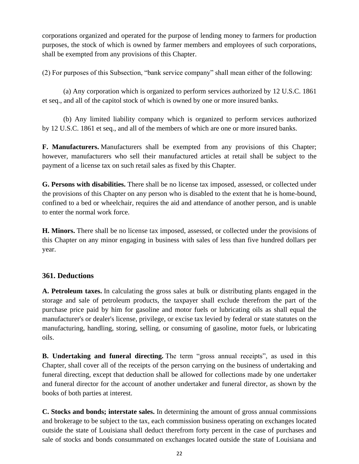corporations organized and operated for the purpose of lending money to farmers for production purposes, the stock of which is owned by farmer members and employees of such corporations, shall be exempted from any provisions of this Chapter.

(2) For purposes of this Subsection, "bank service company" shall mean either of the following:

(a) Any corporation which is organized to perform services authorized by 12 U.S.C. 1861 et seq., and all of the capitol stock of which is owned by one or more insured banks.

(b) Any limited liability company which is organized to perform services authorized by 12 U.S.C. 1861 et seq., and all of the members of which are one or more insured banks.

**F. Manufacturers.** Manufacturers shall be exempted from any provisions of this Chapter; however, manufacturers who sell their manufactured articles at retail shall be subject to the payment of a license tax on such retail sales as fixed by this Chapter.

**G. Persons with disabilities.** There shall be no license tax imposed, assessed, or collected under the provisions of this Chapter on any person who is disabled to the extent that he is home-bound, confined to a bed or wheelchair, requires the aid and attendance of another person, and is unable to enter the normal work force.

**H. Minors.** There shall be no license tax imposed, assessed, or collected under the provisions of this Chapter on any minor engaging in business with sales of less than five hundred dollars per year.

# **361. Deductions**

**A. Petroleum taxes.** In calculating the gross sales at bulk or distributing plants engaged in the storage and sale of petroleum products, the taxpayer shall exclude therefrom the part of the purchase price paid by him for gasoline and motor fuels or lubricating oils as shall equal the manufacturer's or dealer's license, privilege, or excise tax levied by federal or state statutes on the manufacturing, handling, storing, selling, or consuming of gasoline, motor fuels, or lubricating oils.

**B. Undertaking and funeral directing.** The term "gross annual receipts", as used in this Chapter, shall cover all of the receipts of the person carrying on the business of undertaking and funeral directing, except that deduction shall be allowed for collections made by one undertaker and funeral director for the account of another undertaker and funeral director, as shown by the books of both parties at interest.

**C. Stocks and bonds; interstate sales.** In determining the amount of gross annual commissions and brokerage to be subject to the tax, each commission business operating on exchanges located outside the state of Louisiana shall deduct therefrom forty percent in the case of purchases and sale of stocks and bonds consummated on exchanges located outside the state of Louisiana and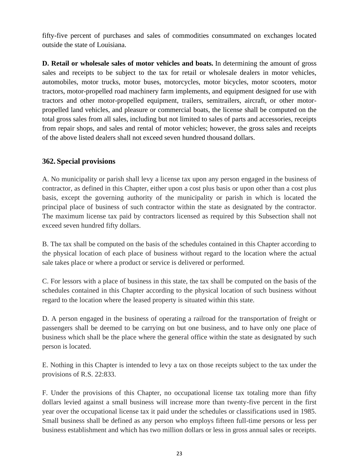fifty-five percent of purchases and sales of commodities consummated on exchanges located outside the state of Louisiana.

**D. Retail or wholesale sales of motor vehicles and boats.** In determining the amount of gross sales and receipts to be subject to the tax for retail or wholesale dealers in motor vehicles, automobiles, motor trucks, motor buses, motorcycles, motor bicycles, motor scooters, motor tractors, motor-propelled road machinery farm implements, and equipment designed for use with tractors and other motor-propelled equipment, trailers, semitrailers, aircraft, or other motorpropelled land vehicles, and pleasure or commercial boats, the license shall be computed on the total gross sales from all sales, including but not limited to sales of parts and accessories, receipts from repair shops, and sales and rental of motor vehicles; however, the gross sales and receipts of the above listed dealers shall not exceed seven hundred thousand dollars.

# **362. Special provisions**

A. No municipality or parish shall levy a license tax upon any person engaged in the business of contractor, as defined in this Chapter, either upon a cost plus basis or upon other than a cost plus basis, except the governing authority of the municipality or parish in which is located the principal place of business of such contractor within the state as designated by the contractor. The maximum license tax paid by contractors licensed as required by this Subsection shall not exceed seven hundred fifty dollars.

B. The tax shall be computed on the basis of the schedules contained in this Chapter according to the physical location of each place of business without regard to the location where the actual sale takes place or where a product or service is delivered or performed.

C. For lessors with a place of business in this state, the tax shall be computed on the basis of the schedules contained in this Chapter according to the physical location of such business without regard to the location where the leased property is situated within this state.

D. A person engaged in the business of operating a railroad for the transportation of freight or passengers shall be deemed to be carrying on but one business, and to have only one place of business which shall be the place where the general office within the state as designated by such person is located.

E. Nothing in this Chapter is intended to levy a tax on those receipts subject to the tax under the provisions of R.S. 22:833.

F. Under the provisions of this Chapter, no occupational license tax totaling more than fifty dollars levied against a small business will increase more than twenty-five percent in the first year over the occupational license tax it paid under the schedules or classifications used in 1985. Small business shall be defined as any person who employs fifteen full-time persons or less per business establishment and which has two million dollars or less in gross annual sales or receipts.